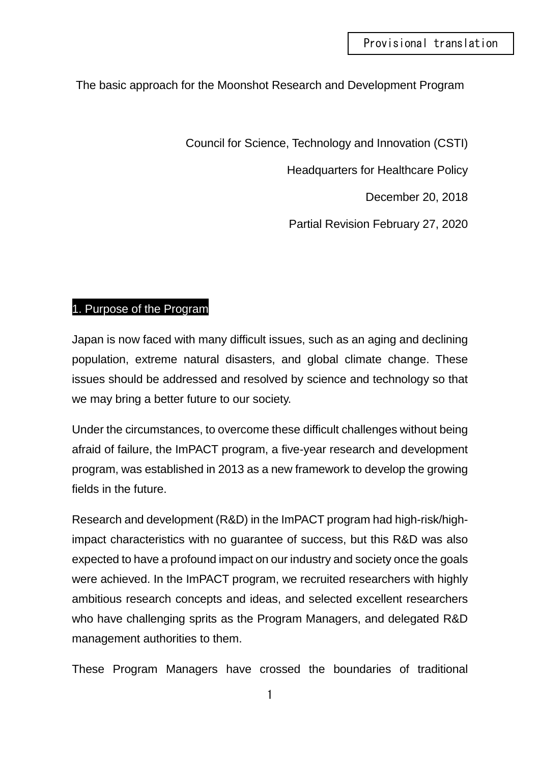## The basic approach for the Moonshot Research and Development Program

Council for Science, Technology and Innovation (CSTI)

Headquarters for Healthcare Policy

December 20, 2018

Partial Revision February 27, 2020

## 1. Purpose of the Program

Japan is now faced with many difficult issues, such as an aging and declining population, extreme natural disasters, and global climate change. These issues should be addressed and resolved by science and technology so that we may bring a better future to our society.

Under the circumstances, to overcome these difficult challenges without being afraid of failure, the ImPACT program, a five-year research and development program, was established in 2013 as a new framework to develop the growing fields in the future.

Research and development (R&D) in the ImPACT program had high-risk/highimpact characteristics with no guarantee of success, but this R&D was also expected to have a profound impact on our industry and society once the goals were achieved. In the ImPACT program, we recruited researchers with highly ambitious research concepts and ideas, and selected excellent researchers who have challenging sprits as the Program Managers, and delegated R&D management authorities to them.

These Program Managers have crossed the boundaries of traditional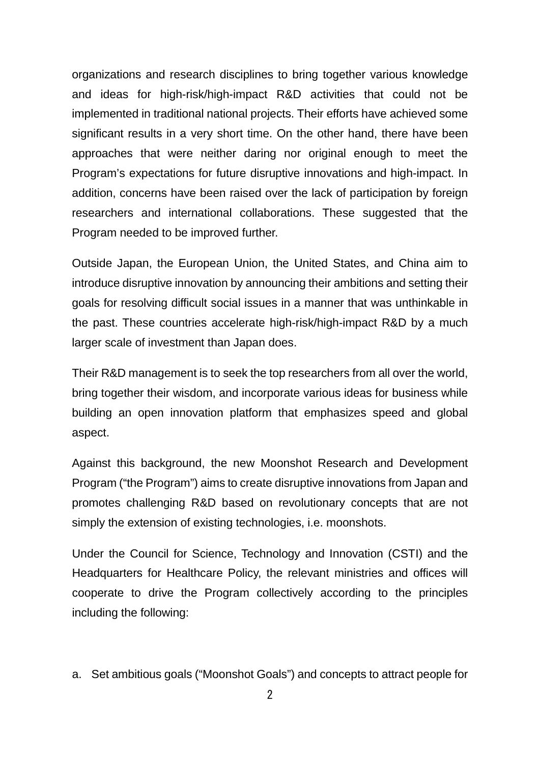organizations and research disciplines to bring together various knowledge and ideas for high-risk/high-impact R&D activities that could not be implemented in traditional national projects. Their efforts have achieved some significant results in a very short time. On the other hand, there have been approaches that were neither daring nor original enough to meet the Program's expectations for future disruptive innovations and high-impact. In addition, concerns have been raised over the lack of participation by foreign researchers and international collaborations. These suggested that the Program needed to be improved further.

Outside Japan, the European Union, the United States, and China aim to introduce disruptive innovation by announcing their ambitions and setting their goals for resolving difficult social issues in a manner that was unthinkable in the past. These countries accelerate high-risk/high-impact R&D by a much larger scale of investment than Japan does.

Their R&D management is to seek the top researchers from all over the world, bring together their wisdom, and incorporate various ideas for business while building an open innovation platform that emphasizes speed and global aspect.

Against this background, the new Moonshot Research and Development Program ("the Program") aims to create disruptive innovations from Japan and promotes challenging R&D based on revolutionary concepts that are not simply the extension of existing technologies, i.e. moonshots.

Under the Council for Science, Technology and Innovation (CSTI) and the Headquarters for Healthcare Policy, the relevant ministries and offices will cooperate to drive the Program collectively according to the principles including the following:

a. Set ambitious goals ("Moonshot Goals") and concepts to attract people for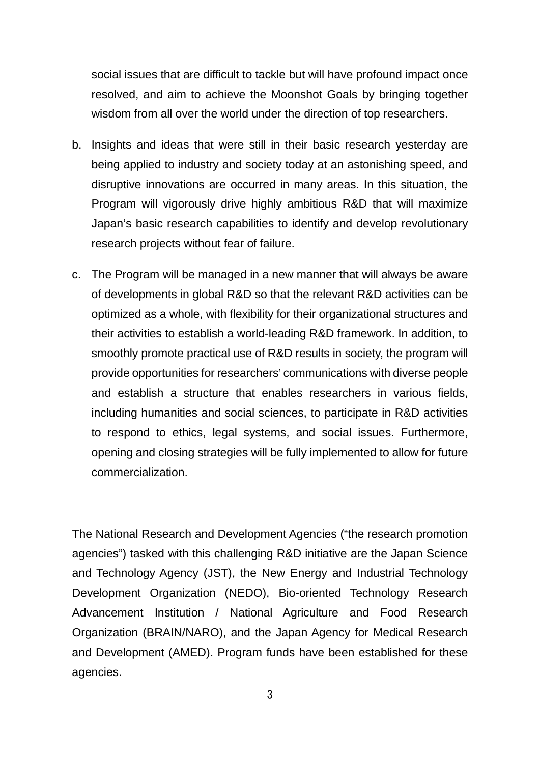social issues that are difficult to tackle but will have profound impact once resolved, and aim to achieve the Moonshot Goals by bringing together wisdom from all over the world under the direction of top researchers.

- b. Insights and ideas that were still in their basic research yesterday are being applied to industry and society today at an astonishing speed, and disruptive innovations are occurred in many areas. In this situation, the Program will vigorously drive highly ambitious R&D that will maximize Japan's basic research capabilities to identify and develop revolutionary research projects without fear of failure.
- c. The Program will be managed in a new manner that will always be aware of developments in global R&D so that the relevant R&D activities can be optimized as a whole, with flexibility for their organizational structures and their activities to establish a world-leading R&D framework. In addition, to smoothly promote practical use of R&D results in society, the program will provide opportunities for researchers' communications with diverse people and establish a structure that enables researchers in various fields, including humanities and social sciences, to participate in R&D activities to respond to ethics, legal systems, and social issues. Furthermore, opening and closing strategies will be fully implemented to allow for future commercialization.

The National Research and Development Agencies ("the research promotion agencies") tasked with this challenging R&D initiative are the Japan Science and Technology Agency (JST), the New Energy and Industrial Technology Development Organization (NEDO), Bio-oriented Technology Research Advancement Institution / National Agriculture and Food Research Organization (BRAIN/NARO), and the Japan Agency for Medical Research and Development (AMED). Program funds have been established for these agencies.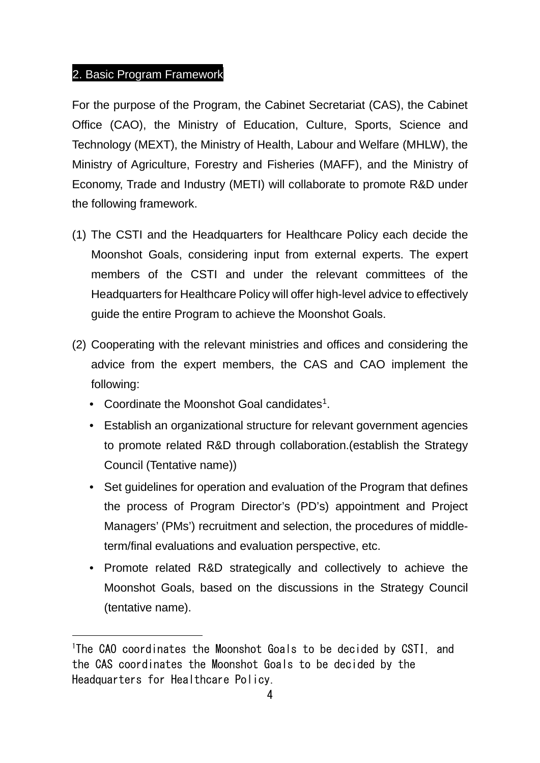## 2. Basic Program Framework

For the purpose of the Program, the Cabinet Secretariat (CAS), the Cabinet Office (CAO), the Ministry of Education, Culture, Sports, Science and Technology (MEXT), the Ministry of Health, Labour and Welfare (MHLW), the Ministry of Agriculture, Forestry and Fisheries (MAFF), and the Ministry of Economy, Trade and Industry (METI) will collaborate to promote R&D under the following framework.

- (1) The CSTI and the Headquarters for Healthcare Policy each decide the Moonshot Goals, considering input from external experts. The expert members of the CSTI and under the relevant committees of the Headquarters for Healthcare Policy will offer high-level advice to effectively guide the entire Program to achieve the Moonshot Goals.
- (2) Cooperating with the relevant ministries and offices and considering the advice from the expert members, the CAS and CAO implement the following:
	- Coordinate the Moonshot Goal candidates<sup>[1](#page-3-0)</sup>.

 $\overline{a}$ 

- Establish an organizational structure for relevant government agencies to promote related R&D through collaboration.(establish the Strategy Council (Tentative name))
- Set guidelines for operation and evaluation of the Program that defines the process of Program Director's (PD's) appointment and Project Managers' (PMs') recruitment and selection, the procedures of middleterm/final evaluations and evaluation perspective, etc.
- Promote related R&D strategically and collectively to achieve the Moonshot Goals, based on the discussions in the Strategy Council (tentative name).

<span id="page-3-0"></span><sup>&</sup>lt;sup>1</sup>The CAO coordinates the Moonshot Goals to be decided by CSTI, and the CAS coordinates the Moonshot Goals to be decided by the Headquarters for Healthcare Policy.